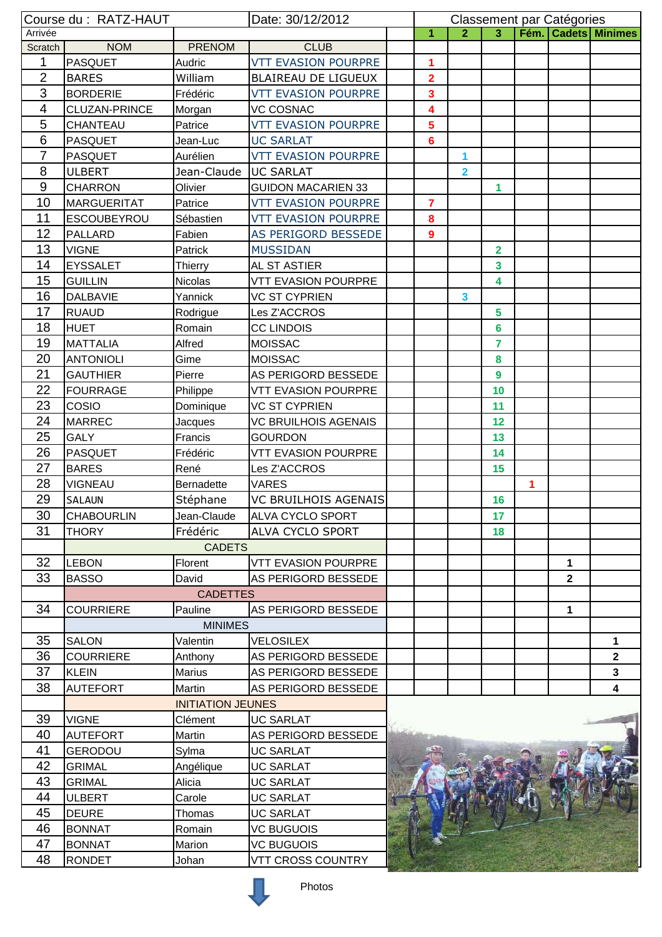| Course du : RATZ-HAUT |                                  |                           | Date: 30/12/2012            | Classement par Catégories |                         |                         |   |                         |                |
|-----------------------|----------------------------------|---------------------------|-----------------------------|---------------------------|-------------------------|-------------------------|---|-------------------------|----------------|
| Arrivée               |                                  |                           | 1                           | $\overline{2}$            | $\overline{3}$          |                         |   | Fém.   Cadets   Minimes |                |
| Scratch               | <b>NOM</b>                       | <b>PRENOM</b>             | <b>CLUB</b>                 |                           |                         |                         |   |                         |                |
| 1                     | <b>PASQUET</b>                   | Audric                    | <b>VTT EVASION POURPRE</b>  | 1                         |                         |                         |   |                         |                |
| $\overline{2}$        | <b>BARES</b>                     | William                   | BLAIREAU DE LIGUEUX         | $\overline{2}$            |                         |                         |   |                         |                |
| 3                     | <b>BORDERIE</b>                  | Frédéric                  | <b>VTT EVASION POURPRE</b>  | 3                         |                         |                         |   |                         |                |
| 4                     | CLUZAN-PRINCE                    | Morgan                    | <b>VC COSNAC</b>            | 4                         |                         |                         |   |                         |                |
| 5                     | CHANTEAU                         | Patrice                   | <b>VTT EVASION POURPRE</b>  | 5                         |                         |                         |   |                         |                |
| 6                     | <b>PASQUET</b>                   | Jean-Luc                  | <b>UC SARLAT</b>            | 6                         |                         |                         |   |                         |                |
| $\overline{7}$        | <b>PASQUET</b>                   | Aurélien                  | <b>VTT EVASION POURPRE</b>  |                           | 1                       |                         |   |                         |                |
| 8                     | <b>ULBERT</b>                    | Jean-Claude               | <b>UC SARLAT</b>            |                           | $\overline{\mathbf{2}}$ |                         |   |                         |                |
| 9                     | <b>CHARRON</b>                   | Olivier                   | <b>GUIDON MACARIEN 33</b>   |                           |                         | 1                       |   |                         |                |
| 10                    | <b>MARGUERITAT</b>               | Patrice                   | <b>VTT EVASION POURPRE</b>  | 7                         |                         |                         |   |                         |                |
| 11                    | <b>ESCOUBEYROU</b>               | Sébastien                 | <b>VTT EVASION POURPRE</b>  | 8                         |                         |                         |   |                         |                |
| 12                    | <b>PALLARD</b>                   | Fabien                    | AS PERIGORD BESSEDE         | 9                         |                         |                         |   |                         |                |
| 13                    | <b>VIGNE</b>                     | Patrick                   | <b>MUSSIDAN</b>             |                           |                         | $\overline{2}$          |   |                         |                |
| 14                    | <b>EYSSALET</b>                  | Thierry                   | AL ST ASTIER                |                           |                         | $\overline{\mathbf{3}}$ |   |                         |                |
| 15                    | <b>GUILLIN</b>                   | <b>Nicolas</b>            | <b>VTT EVASION POURPRE</b>  |                           |                         | 4                       |   |                         |                |
| 16                    | <b>DALBAVIE</b>                  | Yannick                   | <b>VC ST CYPRIEN</b>        |                           | 3                       |                         |   |                         |                |
| 17                    | <b>RUAUD</b>                     | Rodrigue                  | Les Z'ACCROS                |                           |                         | 5                       |   |                         |                |
| 18                    | <b>HUET</b>                      | Romain                    | <b>CC LINDOIS</b>           |                           |                         | 6                       |   |                         |                |
| 19                    | <b>MATTALIA</b>                  | Alfred                    | <b>MOISSAC</b>              |                           |                         | 7                       |   |                         |                |
| 20                    | <b>ANTONIOLI</b>                 | Gime                      | <b>MOISSAC</b>              |                           |                         | 8                       |   |                         |                |
| 21                    | <b>GAUTHIER</b>                  | Pierre                    | AS PERIGORD BESSEDE         |                           |                         | 9                       |   |                         |                |
| 22                    | <b>FOURRAGE</b>                  | Philippe                  | <b>VTT EVASION POURPRE</b>  |                           |                         | 10                      |   |                         |                |
| 23                    | COSIO                            | Dominique                 | <b>VC ST CYPRIEN</b>        |                           |                         | 11                      |   |                         |                |
| 24                    | <b>MARREC</b>                    | Jacques                   | <b>VC BRUILHOIS AGENAIS</b> |                           |                         | 12                      |   |                         |                |
| 25                    | <b>GALY</b>                      | Francis                   | <b>GOURDON</b>              |                           |                         | 13                      |   |                         |                |
| 26                    | <b>PASQUET</b>                   | Frédéric                  | <b>VTT EVASION POURPRE</b>  |                           |                         | 14                      |   |                         |                |
| 27                    | <b>BARES</b>                     | René                      | Les Z'ACCROS                |                           |                         | 15                      |   |                         |                |
| 28                    | <b>VIGNEAU</b>                   | Bernadette                | <b>VARES</b>                |                           |                         |                         | 1 |                         |                |
| 29                    | <b>SALAUN</b>                    | Stéphane                  | <b>VC BRUILHOIS AGENAIS</b> |                           |                         | 16                      |   |                         |                |
| 30                    | <b>CHABOURLIN</b>                | Jean-Claude               | <b>ALVA CYCLO SPORT</b>     |                           |                         | 17                      |   |                         |                |
| 31                    | <b>THORY</b>                     | Frédéric                  | ALVA CYCLO SPORT            |                           |                         | 18                      |   |                         |                |
|                       |                                  | <b>CADETS</b>             |                             |                           |                         |                         |   |                         |                |
| 32                    | <b>LEBON</b>                     | Florent                   | <b>VTT EVASION POURPRE</b>  |                           |                         |                         |   | 1                       |                |
| 33                    | <b>BASSO</b>                     | David                     | AS PERIGORD BESSEDE         |                           |                         |                         |   | $\mathbf{2}$            |                |
|                       |                                  | <b>CADETTES</b>           |                             |                           |                         |                         |   |                         |                |
| 34                    | <b>COURRIERE</b>                 |                           |                             |                           |                         |                         |   |                         |                |
|                       |                                  | Pauline<br><b>MINIMES</b> | AS PERIGORD BESSEDE         |                           |                         |                         |   | 1                       |                |
| 35                    |                                  |                           |                             |                           |                         |                         |   |                         |                |
| 36                    | <b>SALON</b><br><b>COURRIERE</b> | Valentin                  | <b>VELOSILEX</b>            |                           |                         |                         |   |                         | 1              |
|                       |                                  | Anthony                   | AS PERIGORD BESSEDE         |                           |                         |                         |   |                         | $\overline{2}$ |
| 37                    | <b>KLEIN</b>                     | Marius                    | AS PERIGORD BESSEDE         |                           |                         |                         |   |                         | 3              |
| 38                    | <b>AUTEFORT</b>                  | Martin                    | AS PERIGORD BESSEDE         |                           |                         |                         |   |                         | 4              |
|                       |                                  | <b>INITIATION JEUNES</b>  |                             |                           |                         |                         |   |                         |                |
| 39                    | <b>VIGNE</b>                     | Clément                   | <b>UC SARLAT</b>            |                           |                         |                         |   |                         |                |
| 40                    | <b>AUTEFORT</b>                  | Martin                    | AS PERIGORD BESSEDE         |                           |                         |                         |   |                         |                |
| 41                    | <b>GERODOU</b>                   | Sylma                     | <b>UC SARLAT</b>            |                           |                         |                         |   |                         |                |
| 42                    | <b>GRIMAL</b>                    | Angélique                 | <b>UC SARLAT</b>            |                           |                         |                         |   |                         |                |
| 43                    | <b>GRIMAL</b>                    | Alicia                    | <b>UC SARLAT</b>            |                           |                         |                         |   |                         |                |
| 44                    | <b>ULBERT</b>                    | Carole                    | <b>UC SARLAT</b>            |                           |                         |                         |   |                         |                |
| 45                    | <b>DEURE</b>                     | Thomas                    | <b>UC SARLAT</b>            |                           |                         |                         |   |                         |                |
| 46                    | <b>BONNAT</b>                    | Romain                    | <b>VC BUGUOIS</b>           |                           |                         |                         |   |                         |                |
| 47                    | <b>BONNAT</b>                    | Marion                    | <b>VC BUGUOIS</b>           |                           |                         |                         |   |                         |                |
| 48                    | <b>RONDET</b>                    | Johan                     | <b>VTT CROSS COUNTRY</b>    |                           |                         |                         |   |                         |                |